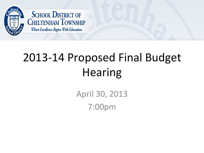

**SCHOOL DISTRICT OF CHELTENHAM TOWNSHIP** Where Excellence Begins With Education

# 2013-14 Proposed Final Budget Hearing

April 30, 2013 7:00pm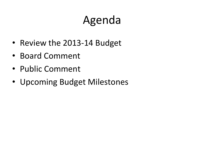# Agenda

- Review the 2013-14 Budget
- Board Comment
- Public Comment
- Upcoming Budget Milestones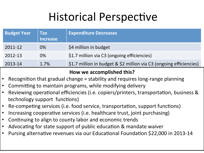## Historical Perspective

| <b>Budget Year</b> | <b>Tax</b><br><b>Increase</b> | <b>Expenditure Decreases</b>                                        |
|--------------------|-------------------------------|---------------------------------------------------------------------|
| 2011-12            | 0%                            | \$4 million in budget                                               |
| 2012-13            | 0%                            | \$1.7 million via C3 (ongoing efficiencies)                         |
| 2013-14            | 1.7%                          | \$1.7 million in budget & \$2 million via C3 (ongoing efficiencies) |

#### How we accomplished this?

- Recognition that gradual change  $=$  stability and requires long-range planning
- Committing to maintain programs, while modifying delivery
- Reviewing operational efficiencies (i.e. copiers/printers, transportation, business & technology support functions)
- Re-competing services (i.e. food service, transportation, support functions)
- Increasing cooperative services (i.e. healthcare trust, joint purchasing)
- Continuing to align to county labor and economic trends
- Advocating for state support of public education & mandate waiver
- Pursing alternative revenues via our Educational Foundation \$22,000 in 2013-14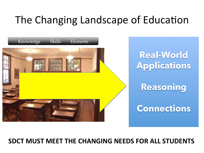### The Changing Landscape of Education



#### **SDCT MUST MEET THE CHANGING NEEDS FOR ALL STUDENTS**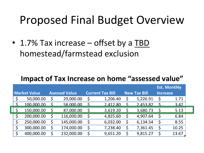## Proposed Final Budget Overview

• 1.7% Tax increase – offset by a TBD homestead/farmstead exclusion

#### **Impact of Tax Increase on home "assessed value"**

|    |                     |     |                      |    |                         |                     |             | <b>Est. Monthly</b> |
|----|---------------------|-----|----------------------|----|-------------------------|---------------------|-------------|---------------------|
|    | <b>Market Value</b> |     | <b>Asessed Value</b> |    | <b>Current Tax Bill</b> | <b>New Tax Bill</b> |             | <b>Increase</b>     |
|    | 50,000.00           | \$  | 29,000.00            | \$ | 1,206.40                | \$<br>1,226.91      | \$          | 1.71                |
| ς  | 100.000.00          | S   | 58.000.00            | S  | 2.412.80                | 2.453.82            | $\varsigma$ | 3.42                |
|    | 150,000.00          |     | 87,000.00            |    | 3,619.20                | 3,680.73            | Š.          | 5.13                |
| \$ | 200,000.00          | \$. | 116,000.00           | \$ | 4,825.60                | 4,907.64            | \$,         | 6.84                |
| \$ | 250,000.00          | \$  | 145,000.00           | \$ | 6,032.00                | 6,134.54            | \$          | 8.55                |
| \$ | 300,000.00          | \$  | 174,000.00           | S  | 7,238.40                | \$<br>7,361.45      | \$          | 10.25               |
|    | 400,000.00          | Ś   | 232,000.00           | Ś  | 9,651.20                | 9,815.27            | S           | 13.67               |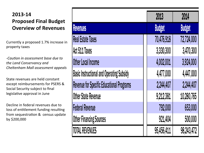#### **2013-14 Proposed Final Budget Overview of Revenues**

Currently a proposed 1.7% increase in property taxes 

*-Caution in assessment base due to* the Land Conservancy and *Cheltenham Mall assessment appeals* 

State revenues are held constant except reimbursements for PSERS & Social Security subject to final legislative approval in June

Decline in federal revenues due to loss of entitlement funding resulting from sequestration & census update by \$200,000 

|                                                  | 2013          | 2014          |
|--------------------------------------------------|---------------|---------------|
| Revenues                                         | <b>Budget</b> | <b>Budget</b> |
| <b>Real Estate Taxes</b>                         | 70,476,918    | 72,724,000    |
| Act 511 Taxes                                    | 3,330,300     | 3,470,300     |
| Other Local Income                               | 4,002,001     | 3,924,000     |
| <b>Basic Instructional and Operating Subsidy</b> | 4,477,000     | 4,447,000     |
| <b>Revenue for Specific Educational Programs</b> | 2,244,407     | 2,244,407     |
| <b>Other State Revenue</b>                       | 9,212,381     | 10,280,765    |
| <b>Federal Revenue</b>                           | 792,000       | 653,000       |
| <b>Other Financing Sources</b>                   | 921,404       | 500,000       |
| <b>TOTAL REVENUES</b>                            | 95,456,411    | 98,243,472    |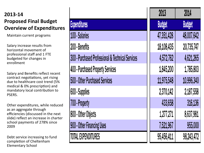#### **2013-14 Proposed Final Budget Overview of Expenditures**

Maintain current programs

Salary increase results from horizontal movement of professional staff and 1 FTE budgeted for changes in enrollment 

Salary and Benefits reflect recent contract negotiations, yet rising due to healthcare cost trend (5% medical & 0% prescription) and mandatory local contribution to PSERS. 

Other expenditures, while reduced as an aggregate through efficiencies (discussed in the next slide) reflect an increase in charter school payments of 278% since 2009 

Debt service increasing to fund completion of Cheltenham Elementary School 

|                                                   | 2013          | 2014          |
|---------------------------------------------------|---------------|---------------|
| <b>Expenditures</b>                               | <b>Budget</b> | <b>Budget</b> |
| 100 - Salaries                                    | 47,351,428    | 48,007,642    |
| 200 - Benefits                                    | 18,108,435    | 20,735,747    |
| 300 - Purchased Professional & Technical Services | 4,572,762     | 4,621,265     |
| 400 - Purchased Property Services                 | 1,845,200     | 1,785,803     |
| 500 - Other Purchased Services                    | 11,975,548    | 10,996,340    |
| 600 - Supplies                                    | 2,370,142     | 2,187,558     |
| 700 - Property                                    | 433,658       | 316,136       |
| 800 - Other Objects                               | 1,277,271     | 8,637,981     |
| 900 - Other Financing Uses                        | 7,521,967     | 955,000       |
| <b>TOTAL EXPENDITURES</b>                         | 95,456,411    | 98,243,472    |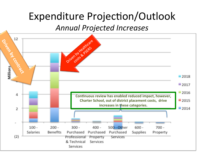### Expenditure Projection/Outlook

*Annual Projected Increases* 

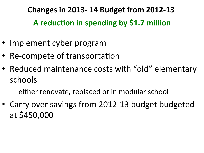**Changes in 2013-14 Budget from 2012-13** A reduction in spending by \$1.7 million

- Implement cyber program
- Re-compete of transportation
- Reduced maintenance costs with "old" elementary schools
	- $-$  either renovate, replaced or in modular school
- Carry over savings from 2012-13 budget budgeted at \$450,000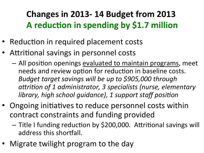### **Changes in 2013-14 Budget from 2013** A reduction in spending by \$1.7 million

- Reduction in required placement costs
- Attritional savings in personnel costs
	- $-$  All position openings evaluated to maintain programs, meet needs and review option for reduction in baseline costs. *Budget target savings will be up to \$905,000 through* attrition of 1 administrator, 3 specialists (nurse, elementary *library, high school quidance), 1 support staff position*
- Ongoing initiatives to reduce personnel costs within contract constraints and funding provided
	- Title I funding reduction by \$200,000. Attritional savings will address this shortfall.
- Migrate twilight program to the day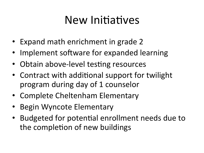## New Initiatives

- Expand math enrichment in grade 2
- Implement software for expanded learning
- Obtain above-level testing resources
- Contract with additional support for twilight program during day of 1 counselor
- Complete Cheltenham Elementary
- Begin Wyncote Elementary
- Budgeted for potential enrollment needs due to the completion of new buildings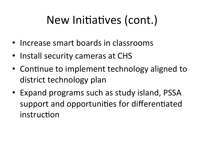# New Initiatives (cont.)

- Increase smart boards in classrooms
- Install security cameras at CHS
- Continue to implement technology aligned to district technology plan
- Expand programs such as study island, PSSA support and opportunities for differentiated instruction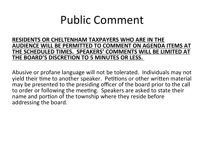### Public Comment

**RESIDENTS OR CHELTENHAM TAXPAYERS WHO ARE IN THE** AUDIENCE WILL BE PERMITTED TO COMMENT ON AGENDA ITEMS AT THE SCHEDULED TIMES. SPEAKERS' COMMENTS WILL BE LIMITED AT **THE BOARD'S DISCRETION TO 5 MINUTES OR LESS.** 

Abusive or profane language will not be tolerated. Individuals may not yield their time to another speaker. Petitions or other written material may be presented to the presiding officer of the board prior to the call to order or following the meeting. Speakers are asked to state their name and portion of the township where they reside before addressing the board.